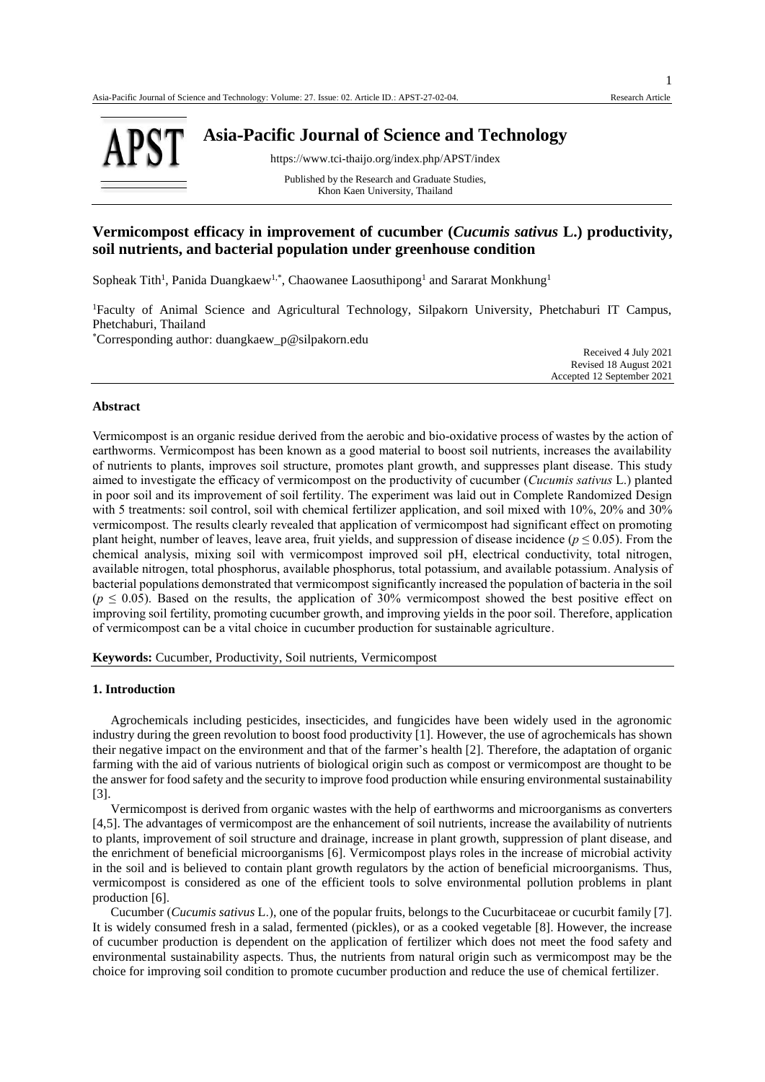

**Asia-Pacific Journal of Science and Technology**

https://www.tci-thaijo.org/index.php/APST/index

Published by the Research and Graduate Studies, Khon Kaen University, Thailand

# **Vermicompost efficacy in improvement of cucumber (***Cucumis sativus* **L.) productivity, soil nutrients, and bacterial population under greenhouse condition**

Sopheak Tith<sup>1</sup>, Panida Duangkaew<sup>1,\*</sup>, Chaowanee Laosuthipong<sup>1</sup> and Sararat Monkhung<sup>1</sup>

<sup>1</sup>Faculty of Animal Science and Agricultural Technology, Silpakorn University, Phetchaburi IT Campus, Phetchaburi, Thailand

\*Corresponding author: duangkaew\_p@silpakorn.edu

Received 4 July 2021 Revised 18 August 2021 Accepted 12 September 2021

## **Abstract**

Vermicompost is an organic residue derived from the aerobic and bio-oxidative process of wastes by the action of earthworms. Vermicompost has been known as a good material to boost soil nutrients, increases the availability of nutrients to plants, improves soil structure, promotes plant growth, and suppresses plant disease. This study aimed to investigate the efficacy of vermicompost on the productivity of cucumber (*Cucumis sativus* L.) planted in poor soil and its improvement of soil fertility. The experiment was laid out in Complete Randomized Design with 5 treatments: soil control, soil with chemical fertilizer application, and soil mixed with 10%, 20% and 30% vermicompost. The results clearly revealed that application of vermicompost had significant effect on promoting plant height, number of leaves, leave area, fruit yields, and suppression of disease incidence ( $p \le 0.05$ ). From the chemical analysis, mixing soil with vermicompost improved soil pH, electrical conductivity, total nitrogen, available nitrogen, total phosphorus, available phosphorus, total potassium, and available potassium. Analysis of bacterial populations demonstrated that vermicompost significantly increased the population of bacteria in the soil  $(p \le 0.05)$ . Based on the results, the application of 30% vermicompost showed the best positive effect on improving soil fertility, promoting cucumber growth, and improving yields in the poor soil. Therefore, application of vermicompost can be a vital choice in cucumber production for sustainable agriculture.

**Keywords:** Cucumber, Productivity, Soil nutrients, Vermicompost

## **1. Introduction**

Agrochemicals including pesticides, insecticides, and fungicides have been widely used in the agronomic industry during the green revolution to boost food productivity [1]. However, the use of agrochemicals has shown their negative impact on the environment and that of the farmer's health [2]. Therefore, the adaptation of organic farming with the aid of various nutrients of biological origin such as compost or vermicompost are thought to be the answer for food safety and the security to improve food production while ensuring environmental sustainability [3].

Vermicompost is derived from organic wastes with the help of earthworms and microorganisms as converters [4,5]. The advantages of vermicompost are the enhancement of soil nutrients, increase the availability of nutrients to plants, improvement of soil structure and drainage, increase in plant growth, suppression of plant disease, and the enrichment of beneficial microorganisms [6]. Vermicompost plays roles in the increase of microbial activity in the soil and is believed to contain plant growth regulators by the action of beneficial microorganisms. Thus, vermicompost is considered as one of the efficient tools to solve environmental pollution problems in plant production [6].

Cucumber (*Cucumis sativus* L.), one of the popular fruits, belongs to the Cucurbitaceae or cucurbit family [7]. It is widely consumed fresh in a salad, fermented (pickles), or as a cooked vegetable [8]. However, the increase of cucumber production is dependent on the application of fertilizer which does not meet the food safety and environmental sustainability aspects. Thus, the nutrients from natural origin such as vermicompost may be the choice for improving soil condition to promote cucumber production and reduce the use of chemical fertilizer.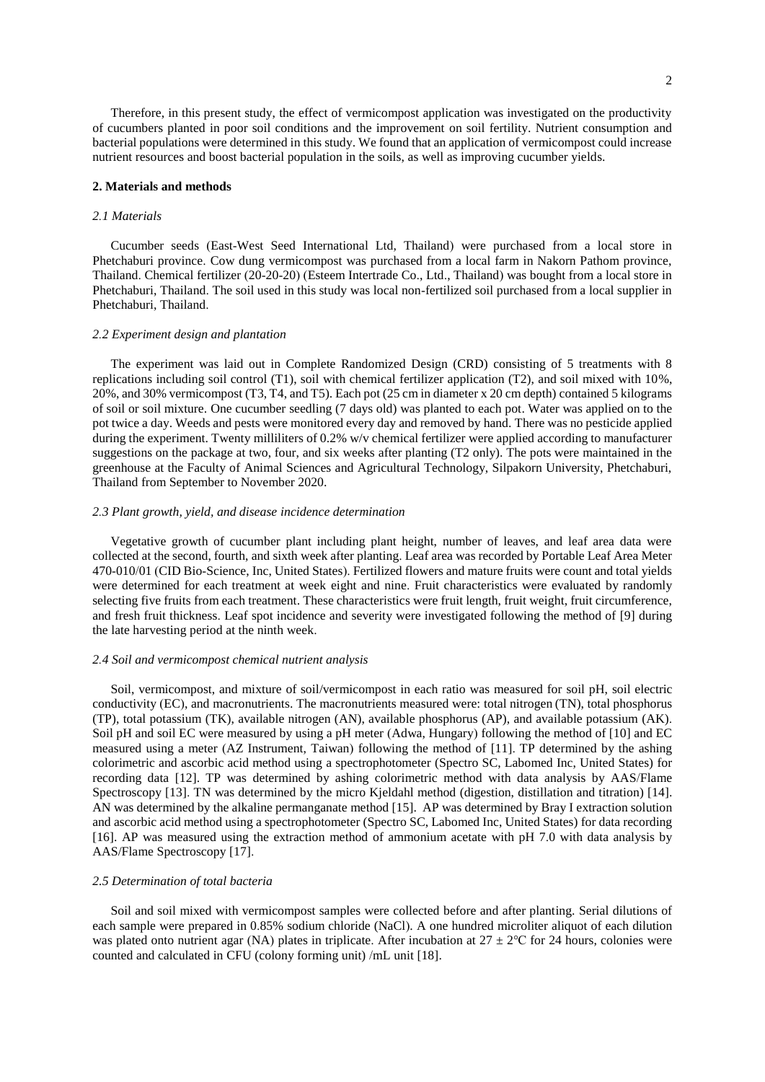Therefore, in this present study, the effect of vermicompost application was investigated on the productivity of cucumbers planted in poor soil conditions and the improvement on soil fertility. Nutrient consumption and bacterial populations were determined in this study. We found that an application of vermicompost could increase nutrient resources and boost bacterial population in the soils, as well as improving cucumber yields.

### **2. Materials and methods**

## *2.1 Materials*

Cucumber seeds (East-West Seed International Ltd, Thailand) were purchased from a local store in Phetchaburi province. Cow dung vermicompost was purchased from a local farm in Nakorn Pathom province, Thailand. Chemical fertilizer (20-20-20) (Esteem Intertrade Co., Ltd., Thailand) was bought from a local store in Phetchaburi, Thailand. The soil used in this study was local non-fertilized soil purchased from a local supplier in Phetchaburi, Thailand.

## *2.2 Experiment design and plantation*

The experiment was laid out in Complete Randomized Design (CRD) consisting of 5 treatments with 8 replications including soil control (T1), soil with chemical fertilizer application (T2), and soil mixed with 10%, 20%, and 30% vermicompost (T3, T4, and T5). Each pot (25 cm in diameter x 20 cm depth) contained 5 kilograms of soil or soil mixture. One cucumber seedling (7 days old) was planted to each pot. Water was applied on to the pot twice a day. Weeds and pests were monitored every day and removed by hand. There was no pesticide applied during the experiment. Twenty milliliters of 0.2% w/v chemical fertilizer were applied according to manufacturer suggestions on the package at two, four, and six weeks after planting (T2 only). The pots were maintained in the greenhouse at the Faculty of Animal Sciences and Agricultural Technology, Silpakorn University, Phetchaburi, Thailand from September to November 2020.

## *2.3 Plant growth, yield, and disease incidence determination*

Vegetative growth of cucumber plant including plant height, number of leaves, and leaf area data were collected at the second, fourth, and sixth week after planting. Leaf area was recorded by Portable Leaf Area Meter 470-010/01 (CID Bio-Science, Inc, United States). Fertilized flowers and mature fruits were count and total yields were determined for each treatment at week eight and nine. Fruit characteristics were evaluated by randomly selecting five fruits from each treatment. These characteristics were fruit length, fruit weight, fruit circumference, and fresh fruit thickness. Leaf spot incidence and severity were investigated following the method of [9] during the late harvesting period at the ninth week.

## *2.4 Soil and vermicompost chemical nutrient analysis*

Soil, vermicompost, and mixture of soil/vermicompost in each ratio was measured for soil pH, soil electric conductivity (EC), and macronutrients. The macronutrients measured were: total nitrogen (TN), total phosphorus (TP), total potassium (TK), available nitrogen (AN), available phosphorus (AP), and available potassium (AK). Soil pH and soil EC were measured by using a pH meter (Adwa, Hungary) following the method of [10] and EC measured using a meter (AZ Instrument, Taiwan) following the method of [11]. TP determined by the ashing colorimetric and ascorbic acid method using a spectrophotometer (Spectro SC, Labomed Inc, United States) for recording data [12]. TP was determined by ashing colorimetric method with data analysis by AAS/Flame Spectroscopy [13]. TN was determined by the micro Kjeldahl method (digestion, distillation and titration) [14]. AN was determined by the alkaline permanganate method [15]. AP was determined by Bray I extraction solution and ascorbic acid method using a spectrophotometer (Spectro SC, Labomed Inc, United States) for data recording [16]. AP was measured using the extraction method of ammonium acetate with pH 7.0 with data analysis by AAS/Flame Spectroscopy [17].

## *2.5 Determination of total bacteria*

Soil and soil mixed with vermicompost samples were collected before and after planting. Serial dilutions of each sample were prepared in 0.85% sodium chloride (NaCl). A one hundred microliter aliquot of each dilution was plated onto nutrient agar (NA) plates in triplicate. After incubation at  $27 \pm 2^{\circ}$ C for 24 hours, colonies were counted and calculated in CFU (colony forming unit) /mL unit [18].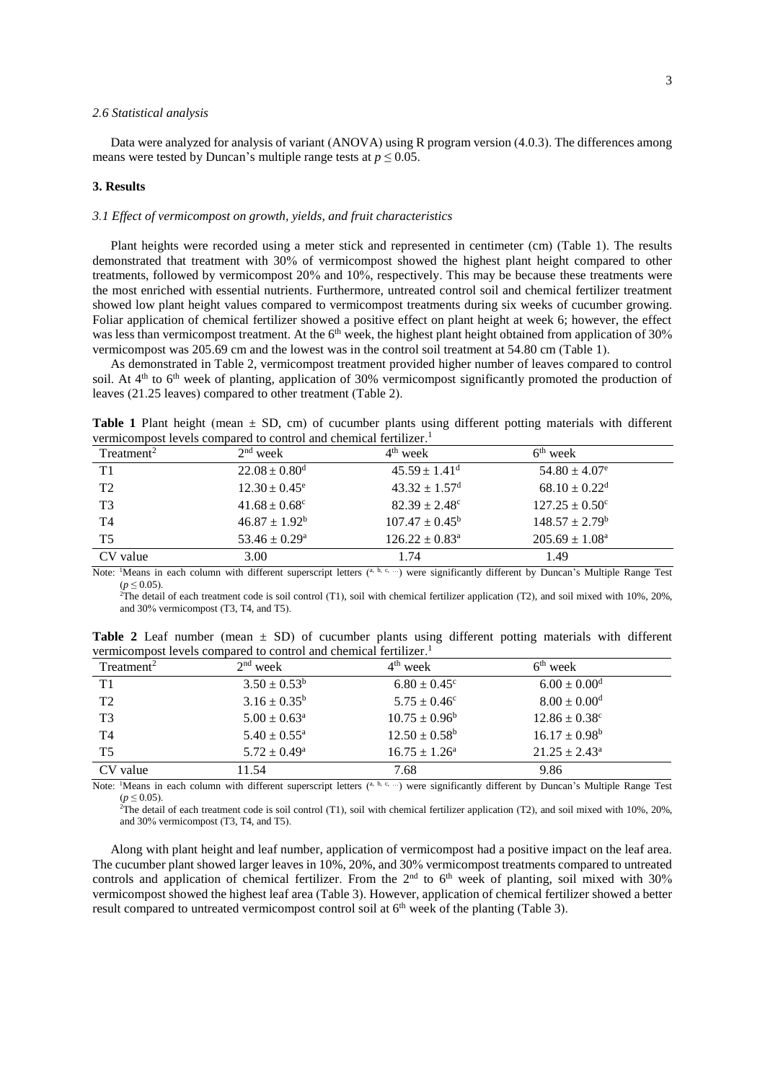#### *2.6 Statistical analysis*

Data were analyzed for analysis of variant (ANOVA) using R program version (4.0.3). The differences among means were tested by Duncan's multiple range tests at  $p \le 0.05$ .

### **3. Results**

## *3.1 Effect of vermicompost on growth, yields, and fruit characteristics*

Plant heights were recorded using a meter stick and represented in centimeter (cm) (Table 1). The results demonstrated that treatment with 30% of vermicompost showed the highest plant height compared to other treatments, followed by vermicompost 20% and 10%, respectively. This may be because these treatments were the most enriched with essential nutrients. Furthermore, untreated control soil and chemical fertilizer treatment showed low plant height values compared to vermicompost treatments during six weeks of cucumber growing. Foliar application of chemical fertilizer showed a positive effect on plant height at week 6; however, the effect was less than vermicompost treatment. At the 6<sup>th</sup> week, the highest plant height obtained from application of 30% vermicompost was 205.69 cm and the lowest was in the control soil treatment at 54.80 cm (Table 1).

As demonstrated in Table 2, vermicompost treatment provided higher number of leaves compared to control soil. At 4<sup>th</sup> to 6<sup>th</sup> week of planting, application of 30% vermicompost significantly promoted the production of leaves (21.25 leaves) compared to other treatment (Table 2).

**Table 1** Plant height (mean ± SD, cm) of cucumber plants using different potting materials with different vermicompost levels compared to control and chemical fertilizer. 1

| Treatment <sup>2</sup> | $2nd$ week                    | $4th$ week                    | $6th$ week                    |  |
|------------------------|-------------------------------|-------------------------------|-------------------------------|--|
| T1                     | $22.08 \pm 0.80$ <sup>d</sup> | $45.59 \pm 1.41$ <sup>d</sup> | $54.80 \pm 4.07$ <sup>e</sup> |  |
| T <sub>2</sub>         | $12.30 \pm 0.45^{\circ}$      | $43.32 \pm 1.57$ <sup>d</sup> | $68.10 \pm 0.22$ <sup>d</sup> |  |
| T <sub>3</sub>         | $41.68 \pm 0.68^{\circ}$      | $82.39 \pm 2.48^{\circ}$      | $127.25 \pm 0.50^{\circ}$     |  |
| T <sub>4</sub>         | $46.87 \pm 1.92^b$            | $107.47 \pm 0.45^b$           | $148.57 \pm 2.79^b$           |  |
| T <sub>5</sub>         | $53.46 \pm 0.29^{\rm a}$      | $126.22 \pm 0.83^a$           | $205.69 \pm 1.08^{\text{a}}$  |  |
| CV value               | 3.00                          | 1.74                          | 1.49                          |  |

Note: <sup>1</sup>Means in each column with different superscript letters (a, b, c, ...) were significantly different by Duncan's Multiple Range Test  $(p \le 0.05)$ .

 $^{2}$ The detail of each treatment code is soil control (T1), soil with chemical fertilizer application (T2), and soil mixed with 10%, 20%, and 30% vermicompost (T3, T4, and T5).

| vermicompost levels compared to control and chemical lertilizer. |                            |                              |                          |  |  |  |
|------------------------------------------------------------------|----------------------------|------------------------------|--------------------------|--|--|--|
| Treatment <sup>2</sup>                                           | $2nd$ week                 | $4th$ week                   | $6th$ week               |  |  |  |
| T1                                                               | $3.50 \pm 0.53^b$          | $6.80 \pm 0.45$ <sup>c</sup> | $6.00\pm0.00^{\rm d}$    |  |  |  |
| T2                                                               | $3.16 \pm 0.35^b$          | $5.75 \pm 0.46^c$            | $8.00\pm0.00^{\rm d}$    |  |  |  |
| T <sub>3</sub>                                                   | $5.00 \pm 0.63^{\circ}$    | $10.75 \pm 0.96^b$           | $12.86 \pm 0.38^c$       |  |  |  |
| T <sub>4</sub>                                                   | $5.40 \pm 0.55^{\text{a}}$ | $12.50 \pm 0.58^{\rm b}$     | $16.17 \pm 0.98^b$       |  |  |  |
| T <sub>5</sub>                                                   | $5.72 \pm 0.49^{\rm a}$    | $16.75 \pm 1.26^{\circ}$     | $21.25 \pm 2.43^{\circ}$ |  |  |  |
| CV value                                                         | 11.54                      | 7.68                         | 9.86                     |  |  |  |

**Table 2** Leaf number (mean ± SD) of cucumber plants using different potting materials with different vermicompost levels compared to control and chemical fertilizer.<sup>1</sup>

Note: <sup>1</sup>Means in each column with different superscript letters (a, b, c, ...) were significantly different by Duncan's Multiple Range Test  $(p \le 0.05)$ .

<sup>2</sup>The detail of each treatment code is soil control (T1), soil with chemical fertilizer application (T2), and soil mixed with  $10\%$ ,  $20\%$ , and 30% vermicompost (T3, T4, and T5).

Along with plant height and leaf number, application of vermicompost had a positive impact on the leaf area. The cucumber plant showed larger leaves in 10%, 20%, and 30% vermicompost treatments compared to untreated controls and application of chemical fertilizer. From the  $2<sup>nd</sup>$  to  $6<sup>th</sup>$  week of planting, soil mixed with 30% vermicompost showed the highest leaf area (Table 3). However, application of chemical fertilizer showed a better result compared to untreated vermicompost control soil at  $6<sup>th</sup>$  week of the planting (Table 3).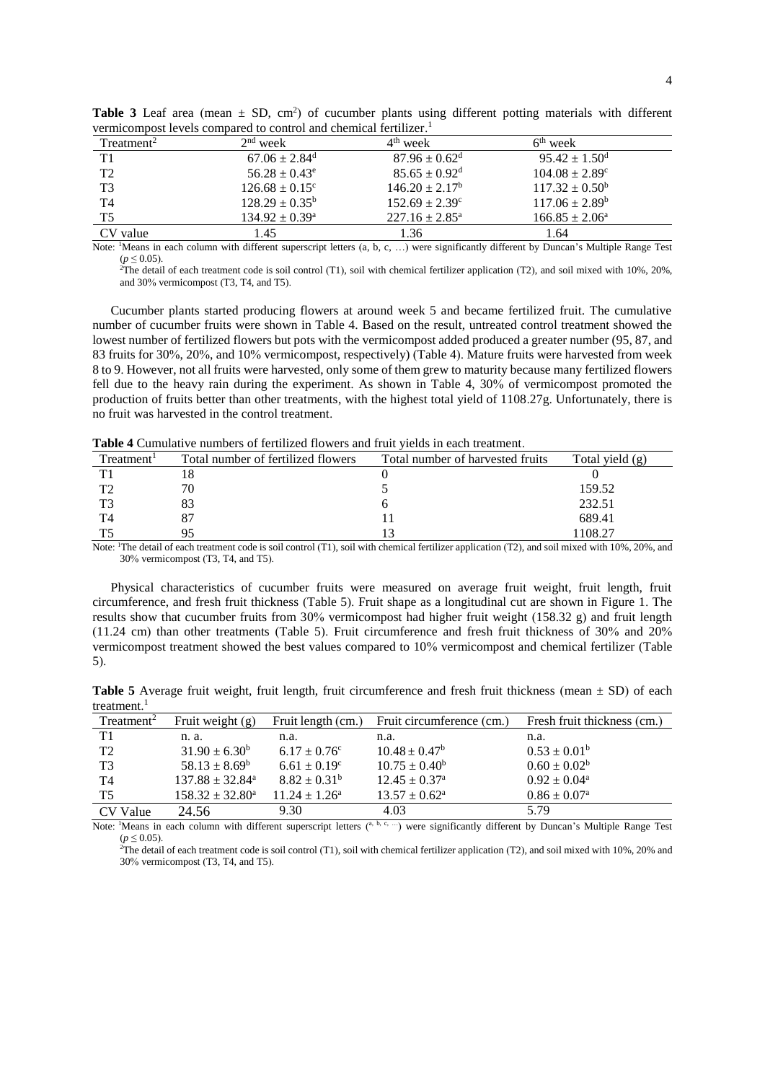| Treatment <sup>2</sup> | $2nd$ week                    | $4th$ week                    | $6th$ week                     |  |
|------------------------|-------------------------------|-------------------------------|--------------------------------|--|
| T1                     | $67.06 \pm 2.84$ <sup>d</sup> | $87.96 \pm 0.62$ <sup>d</sup> | $95.42 \pm 1.50$ <sup>d</sup>  |  |
| T2                     | $56.28 \pm 0.43^e$            | $85.65 \pm 0.92$ <sup>d</sup> | $104.08 \pm 2.89$ <sup>c</sup> |  |
| T <sub>3</sub>         | $126.68 \pm 0.15^{\circ}$     | $146.20 \pm 2.17^b$           | $117.32 \pm 0.50^{\circ}$      |  |
| T <sub>4</sub>         | $128.29 \pm 0.35^b$           | $152.69 \pm 2.39^{\circ}$     | $117.06 \pm 2.89^b$            |  |
| T <sub>5</sub>         | $134.92 \pm 0.39^{\text{a}}$  | $227.16 \pm 2.85^{\circ}$     | $166.85 \pm 2.06^{\circ}$      |  |
| CV value               | . 45                          | 1.36                          | 1.64                           |  |

**Table 3** Leaf area (mean  $\pm$  SD, cm<sup>2</sup>) of cucumber plants using different potting materials with different vermicompost levels compared to control and chemical fertilizer. 1

Note: <sup>1</sup>Means in each column with different superscript letters (a, b, c, ...) were significantly different by Duncan's Multiple Range Test  $(p \le 0.05)$ .

<sup>2</sup>The detail of each treatment code is soil control (T1), soil with chemical fertilizer application (T2), and soil mixed with 10%, 20%, and 30% vermicompost (T3, T4, and T5).

Cucumber plants started producing flowers at around week 5 and became fertilized fruit. The cumulative number of cucumber fruits were shown in Table 4. Based on the result, untreated control treatment showed the lowest number of fertilized flowers but pots with the vermicompost added produced a greater number (95, 87, and 83 fruits for 30%, 20%, and 10% vermicompost, respectively) (Table 4). Mature fruits were harvested from week 8 to 9. However, not all fruits were harvested, only some of them grew to maturity because many fertilized flowers fell due to the heavy rain during the experiment. As shown in Table 4, 30% of vermicompost promoted the production of fruits better than other treatments, with the highest total yield of 1108.27g. Unfortunately, there is no fruit was harvested in the control treatment.

**Table 4** Cumulative numbers of fertilized flowers and fruit yields in each treatment.

| Treatment <sup>1</sup> | Total number of fertilized flowers | Total number of harvested fruits | Total yield (g) |
|------------------------|------------------------------------|----------------------------------|-----------------|
| TT 1                   |                                    |                                  |                 |
| ጥኅ                     | 70                                 |                                  | 159.52          |
| T <sup>2</sup>         | 83                                 |                                  | 232.51          |
| T4                     |                                    |                                  | 689.41          |
| тc                     | q٤                                 |                                  | 108.27          |

Note: <sup>1</sup>The detail of each treatment code is soil control (T1), soil with chemical fertilizer application (T2), and soil mixed with 10%, 20%, and 30% vermicompost (T3, T4, and T5).

Physical characteristics of cucumber fruits were measured on average fruit weight, fruit length, fruit circumference, and fresh fruit thickness (Table 5). Fruit shape as a longitudinal cut are shown in Figure 1. The results show that cucumber fruits from 30% vermicompost had higher fruit weight (158.32 g) and fruit length (11.24 cm) than other treatments (Table 5). Fruit circumference and fresh fruit thickness of 30% and 20% vermicompost treatment showed the best values compared to 10% vermicompost and chemical fertilizer (Table 5).

**Table 5** Average fruit weight, fruit length, fruit circumference and fresh fruit thickness (mean  $\pm$  SD) of each treatment. 1

| $T$ reatment <sup>2</sup> | Fruit weight $(g)$            | Fruit length (cm.)      | Fruit circumference (cm.)   | Fresh fruit thickness (cm.) |
|---------------------------|-------------------------------|-------------------------|-----------------------------|-----------------------------|
| T1                        | n. a.                         | n.a.                    | n.a.                        | n.a.                        |
| T <sub>2</sub>            | $31.90 \pm 6.30^b$            | $6.17 \pm 0.76^{\circ}$ | $10.48 \pm 0.47^b$          | $0.53 \pm 0.01^b$           |
| T <sub>3</sub>            | $58.13 \pm 8.69^b$            | $6.61 \pm 0.19^{\circ}$ | $10.75 \pm 0.40^b$          | $0.60 \pm 0.02^b$           |
| T4                        | $137.88 \pm 32.84^{\text{a}}$ | $8.82 \pm 0.31^b$       | $12.45 \pm 0.37^{\circ}$    | $0.92 \pm 0.04^{\circ}$     |
| T <sub>5</sub>            | $158.32 \pm 32.80^a$          | $11.24 \pm 1.26^a$      | $13.57 \pm 0.62^{\text{a}}$ | $0.86 \pm 0.07^{\rm a}$     |
| CV Value                  | 24.56                         | 9.30                    | 4.03                        | 5.79                        |

Note: 'Means in each column with different superscript letters (a, b, c, ...) were significantly different by Duncan's Multiple Range Test  $(p \le 0.05)$ .

<sup>2</sup>The detail of each treatment code is soil control (T1), soil with chemical fertilizer application (T2), and soil mixed with 10%, 20% and 30% vermicompost (T3, T4, and T5).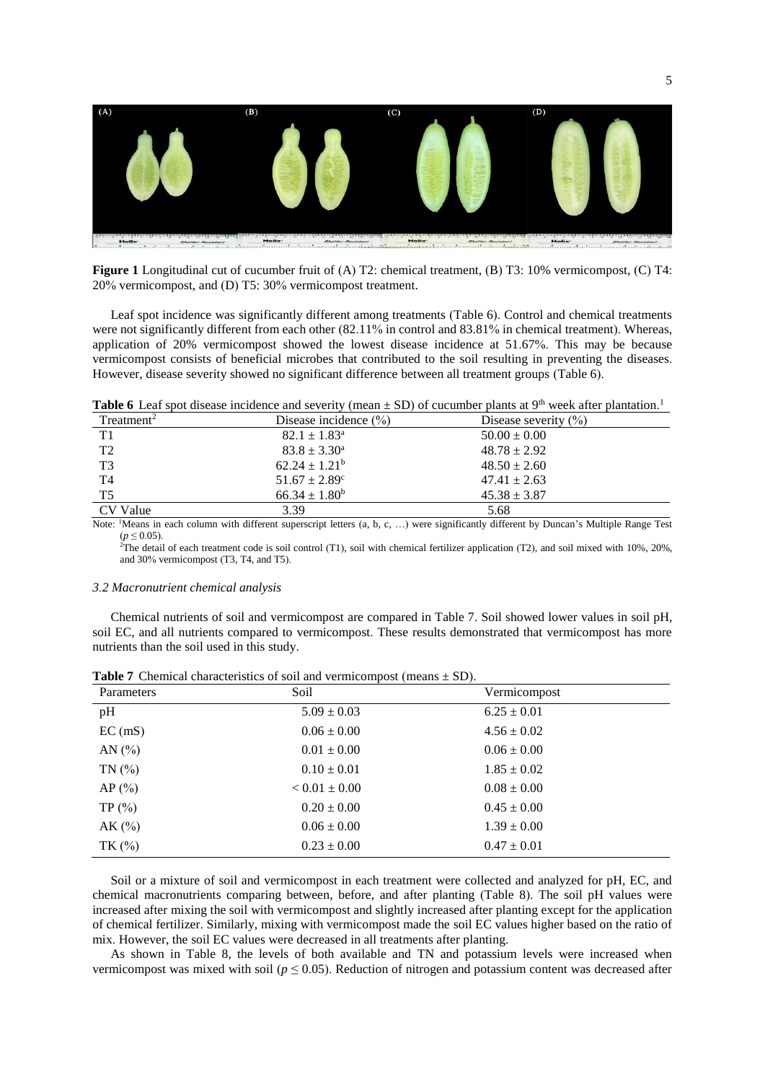

**Figure 1** Longitudinal cut of cucumber fruit of (A) T2: chemical treatment, (B) T3: 10% vermicompost, (C) T4: 20% vermicompost, and (D) T5: 30% vermicompost treatment.

Leaf spot incidence was significantly different among treatments (Table 6). Control and chemical treatments were not significantly different from each other (82.11% in control and 83.81% in chemical treatment). Whereas, application of 20% vermicompost showed the lowest disease incidence at 51.67%. This may be because vermicompost consists of beneficial microbes that contributed to the soil resulting in preventing the diseases. However, disease severity showed no significant difference between all treatment groups (Table 6).

**Table 6** Leaf spot disease incidence and severity (mean  $\pm$  SD) of cucumber plants at 9<sup>th</sup> week after plantation.<sup>1</sup>

| Treatment <sup>2</sup> | Disease incidence $(\% )$ | Disease severity $(\% )$ |
|------------------------|---------------------------|--------------------------|
| T1                     | $82.1 \pm 1.83^{\circ}$   | $50.00 \pm 0.00$         |
| T <sub>2</sub>         | $83.8 \pm 3.30^{\circ}$   | $48.78 \pm 2.92$         |
| T <sub>3</sub>         | $62.24 \pm 1.21^b$        | $48.50 \pm 2.60$         |
| T <sub>4</sub>         | $51.67 \pm 2.89^{\circ}$  | $47.41 \pm 2.63$         |
| T <sub>5</sub>         | $66.34 \pm 1.80^b$        | $45.38 \pm 3.87$         |
| CV Value               | 3.39                      | 5.68                     |

Note: <sup>1</sup>Means in each column with different superscript letters (a, b, c, …) were significantly different by Duncan's Multiple Range Test  $(p ≤ 0.05)$ .

<sup>2</sup>The detail of each treatment code is soil control (T1), soil with chemical fertilizer application (T2), and soil mixed with 10%, 20%, and 30% vermicompost (T3, T4, and T5).

### *3.2 Macronutrient chemical analysis*

Chemical nutrients of soil and vermicompost are compared in Table 7. Soil showed lower values in soil pH, soil EC, and all nutrients compared to vermicompost. These results demonstrated that vermicompost has more nutrients than the soil used in this study.

| Parameters | Soil              | Vermicompost    |  |
|------------|-------------------|-----------------|--|
| pH         | $5.09 \pm 0.03$   | $6.25 \pm 0.01$ |  |
| EC (mS)    | $0.06 \pm 0.00$   | $4.56 \pm 0.02$ |  |
| AN $(%)$   | $0.01 \pm 0.00$   | $0.06 \pm 0.00$ |  |
| TN(%       | $0.10 \pm 0.01$   | $1.85 \pm 0.02$ |  |
| AP(%)      | $< 0.01 \pm 0.00$ | $0.08 \pm 0.00$ |  |
| TP(%)      | $0.20 \pm 0.00$   | $0.45 \pm 0.00$ |  |
| AK (%)     | $0.06 \pm 0.00$   | $1.39 \pm 0.00$ |  |
| TK $(%)$   | $0.23 \pm 0.00$   | $0.47 \pm 0.01$ |  |

**Table 7** Chemical characteristics of soil and vermicompost (means  $\pm$  SD).

Soil or a mixture of soil and vermicompost in each treatment were collected and analyzed for pH, EC, and chemical macronutrients comparing between, before, and after planting (Table 8). The soil pH values were increased after mixing the soil with vermicompost and slightly increased after planting except for the application of chemical fertilizer. Similarly, mixing with vermicompost made the soil EC values higher based on the ratio of mix. However, the soil EC values were decreased in all treatments after planting.

As shown in Table 8, the levels of both available and TN and potassium levels were increased when vermicompost was mixed with soil ( $p \le 0.05$ ). Reduction of nitrogen and potassium content was decreased after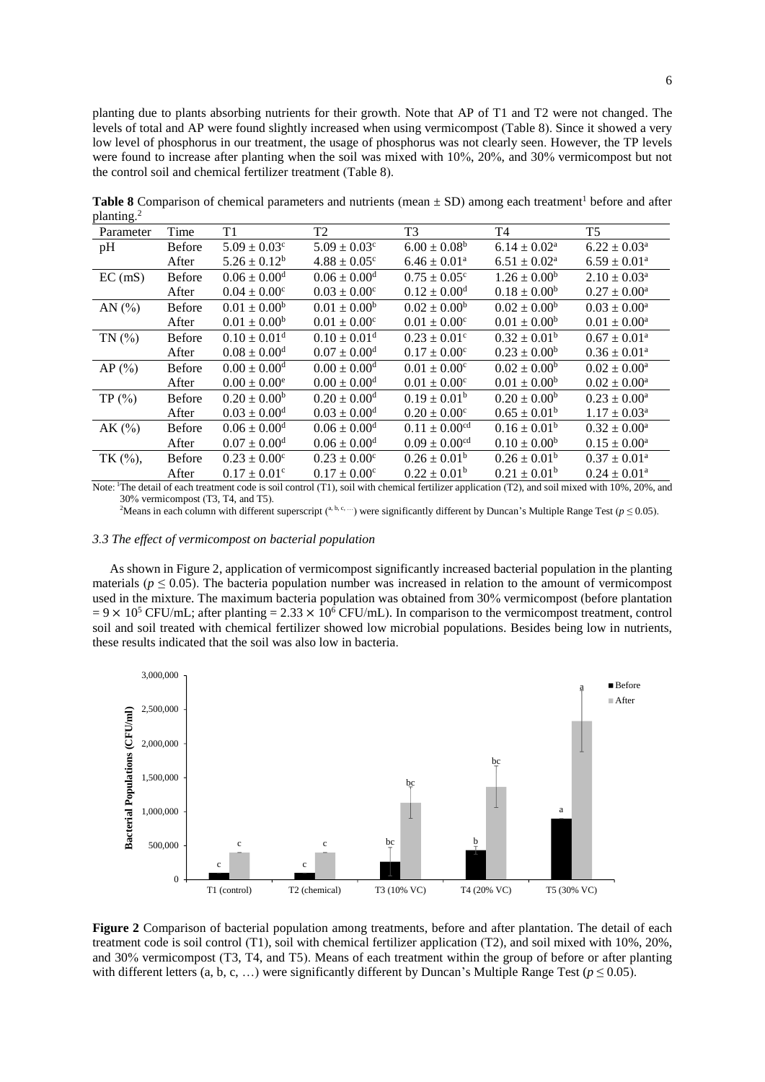planting due to plants absorbing nutrients for their growth. Note that AP of T1 and T2 were not changed. The levels of total and AP were found slightly increased when using vermicompost (Table 8). Since it showed a very low level of phosphorus in our treatment, the usage of phosphorus was not clearly seen. However, the TP levels were found to increase after planting when the soil was mixed with 10%, 20%, and 30% vermicompost but not the control soil and chemical fertilizer treatment (Table 8).

| Parameter  | Time          | T1                           | T <sub>2</sub>               | T <sub>3</sub>                | T <sub>4</sub>             | T <sub>5</sub>             |
|------------|---------------|------------------------------|------------------------------|-------------------------------|----------------------------|----------------------------|
| pH         | <b>Before</b> | $5.09 \pm 0.03$ <sup>c</sup> | $5.09 \pm 0.03^c$            | $6.00 \pm 0.08^b$             | $6.14 \pm 0.02^a$          | $6.22 \pm 0.03^{\text{a}}$ |
|            | After         | $5.26 \pm 0.12^b$            | $4.88 \pm 0.05^{\circ}$      | $6.46 \pm 0.01^a$             | $6.51 \pm 0.02^{\text{a}}$ | $6.59 \pm 0.01^a$          |
| EC(mS)     | <b>Before</b> | $0.06 \pm 0.00$ <sup>d</sup> | $0.06 \pm 0.00$ <sup>d</sup> | $0.75 \pm 0.05^{\circ}$       | $1.26 \pm 0.00^b$          | $2.10 \pm 0.03^{\text{a}}$ |
|            | After         | $0.04 \pm 0.00^{\circ}$      | $0.03 \pm 0.00^{\circ}$      | $0.12 \pm 0.00$ <sup>d</sup>  | $0.18 \pm 0.00^b$          | $0.27 \pm 0.00^{\text{a}}$ |
| AN $(%)$   | <b>Before</b> | $0.01 \pm 0.00^b$            | $0.01 \pm 0.00^b$            | $0.02 \pm 0.00^b$             | $0.02 \pm 0.00^b$          | $0.03 \pm 0.00^a$          |
|            | After         | $0.01 \pm 0.00^b$            | $0.01 \pm 0.00^{\circ}$      | $0.01 \pm 0.00^c$             | $0.01 \pm 0.00^b$          | $0.01\pm0.00^{\rm a}$      |
| TN(%)      | Before        | $0.10 \pm 0.01$ <sup>d</sup> | $0.10 \pm 0.01$ <sup>d</sup> | $0.23 \pm 0.01$ <sup>c</sup>  | $0.32 \pm 0.01^b$          | $0.67 \pm 0.01^a$          |
|            | After         | $0.08 \pm 0.00$ <sup>d</sup> | $0.07 \pm 0.00$ <sup>d</sup> | $0.17 \pm 0.00^c$             | $0.23 \pm 0.00^b$          | $0.36 \pm 0.01^a$          |
| AP $(\% )$ | <b>Before</b> | $0.00 \pm 0.00$ <sup>d</sup> | $0.00\pm0.00^{\rm d}$        | $0.01 \pm 0.00^{\circ}$       | $0.02 \pm 0.00^b$          | $0.02 \pm 0.00^{\rm a}$    |
|            | After         | $0.00 \pm 0.00^e$            | $0.00 \pm 0.00$ <sup>d</sup> | $0.01 \pm 0.00^c$             | $0.01 \pm 0.00^b$          | $0.02 \pm 0.00^a$          |
| TP $(\% )$ | <b>Before</b> | $0.20 \pm 0.00^b$            | $0.20 \pm 0.00$ <sup>d</sup> | $0.19 \pm 0.01^b$             | $0.20 \pm 0.00^b$          | $0.23 \pm 0.00^a$          |
|            | After         | $0.03 \pm 0.00$ <sup>d</sup> | $0.03 \pm 0.00$ <sup>d</sup> | $0.20 \pm 0.00^c$             | $0.65 \pm 0.01^b$          | $1.17 \pm 0.03^{\rm a}$    |
| AK $(%)$   | <b>Before</b> | $0.06 \pm 0.00$ <sup>d</sup> | $0.06 \pm 0.00$ <sup>d</sup> | $0.11 \pm 0.00$ <sup>cd</sup> | $0.16 \pm 0.01^b$          | $0.32 \pm 0.00^a$          |
|            | After         | $0.07 \pm 0.00$ <sup>d</sup> | $0.06 \pm 0.00$ <sup>d</sup> | $0.09 \pm 0.00$ <sup>cd</sup> | $0.10 \pm 0.00^b$          | $0.15 \pm 0.00^a$          |
| TK (%),    | <b>Before</b> | $0.23 \pm 0.00^{\circ}$      | $0.23 \pm 0.00^{\circ}$      | $0.26 \pm 0.01^b$             | $0.26 \pm 0.01^b$          | $0.37 \pm 0.01^{\text{a}}$ |
|            | After         | $0.17 \pm 0.01^c$            | $0.17 \pm 0.00^c$            | $0.22 \pm 0.01^b$             | $0.21 \pm 0.01^b$          | $0.24 \pm 0.01^a$          |

**Table 8** Comparison of chemical parameters and nutrients (mean  $\pm$  SD) among each treatment<sup>1</sup> before and after planting.<sup>2</sup>

Note: <sup>1</sup>The detail of each treatment code is soil control (T1), soil with chemical fertilizer application (T2), and soil mixed with 10%, 20%, and 30% vermicompost (T3, T4, and T5).

<sup>2</sup>Means in each column with different superscript (<sup>a, b, c, ...) were significantly different by Duncan's Multiple Range Test (*p* ≤ 0.05).</sup>

## *3.3 The effect of vermicompost on bacterial population*

As shown in Figure 2, application of vermicompost significantly increased bacterial population in the planting materials ( $p \leq 0.05$ ). The bacteria population number was increased in relation to the amount of vermicompost used in the mixture. The maximum bacteria population was obtained from 30% vermicompost (before plantation  $= 9 \times 10^5$  CFU/mL; after planting  $= 2.33 \times 10^6$  CFU/mL). In comparison to the vermicompost treatment, control soil and soil treated with chemical fertilizer showed low microbial populations. Besides being low in nutrients, these results indicated that the soil was also low in bacteria.



**Figure 2** Comparison of bacterial population among treatments, before and after plantation. The detail of each treatment code is soil control (T1), soil with chemical fertilizer application (T2), and soil mixed with 10%, 20%, and 30% vermicompost (T3, T4, and T5). Means of each treatment within the group of before or after planting with different letters (a, b, c, ...) were significantly different by Duncan's Multiple Range Test ( $p \le 0.05$ ).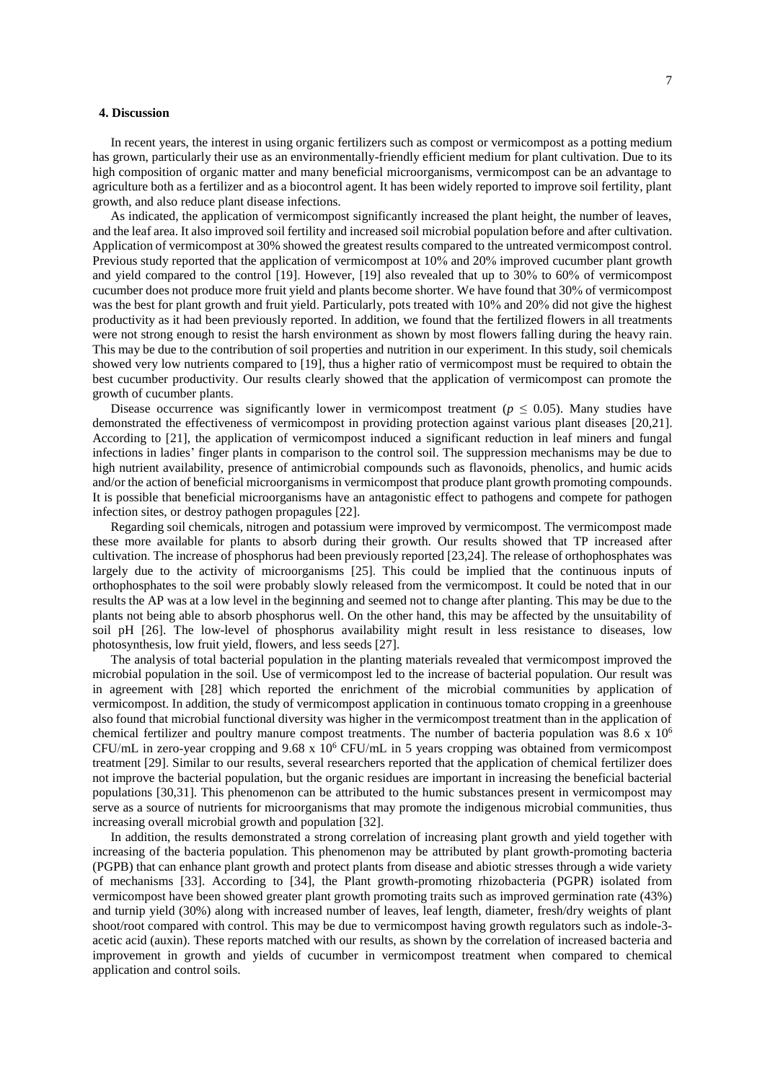### **4. Discussion**

In recent years, the interest in using organic fertilizers such as compost or vermicompost as a potting medium has grown, particularly their use as an environmentally-friendly efficient medium for plant cultivation. Due to its high composition of organic matter and many beneficial microorganisms, vermicompost can be an advantage to agriculture both as a fertilizer and as a biocontrol agent. It has been widely reported to improve soil fertility, plant growth, and also reduce plant disease infections.

As indicated, the application of vermicompost significantly increased the plant height, the number of leaves, and the leaf area. It also improved soil fertility and increased soil microbial population before and after cultivation. Application of vermicompost at 30% showed the greatest results compared to the untreated vermicompost control. Previous study reported that the application of vermicompost at 10% and 20% improved cucumber plant growth and yield compared to the control [19]. However, [19] also revealed that up to 30% to 60% of vermicompost cucumber does not produce more fruit yield and plants become shorter. We have found that 30% of vermicompost was the best for plant growth and fruit yield. Particularly, pots treated with 10% and 20% did not give the highest productivity as it had been previously reported. In addition, we found that the fertilized flowers in all treatments were not strong enough to resist the harsh environment as shown by most flowers falling during the heavy rain. This may be due to the contribution of soil properties and nutrition in our experiment. In this study, soil chemicals showed very low nutrients compared to [19], thus a higher ratio of vermicompost must be required to obtain the best cucumber productivity. Our results clearly showed that the application of vermicompost can promote the growth of cucumber plants.

Disease occurrence was significantly lower in vermicompost treatment ( $p \le 0.05$ ). Many studies have demonstrated the effectiveness of vermicompost in providing protection against various plant diseases [20,21]. According to [21], the application of vermicompost induced a significant reduction in leaf miners and fungal infections in ladies' finger plants in comparison to the control soil. The suppression mechanisms may be due to high nutrient availability, presence of antimicrobial compounds such as flavonoids, phenolics, and humic acids and/or the action of beneficial microorganisms in vermicompost that produce plant growth promoting compounds. It is possible that beneficial microorganisms have an antagonistic effect to pathogens and compete for pathogen infection sites, or destroy pathogen propagules [22].

Regarding soil chemicals, nitrogen and potassium were improved by vermicompost. The vermicompost made these more available for plants to absorb during their growth. Our results showed that TP increased after cultivation. The increase of phosphorus had been previously reported [23,24]. The release of orthophosphates was largely due to the activity of microorganisms [25]. This could be implied that the continuous inputs of orthophosphates to the soil were probably slowly released from the vermicompost. It could be noted that in our results the AP was at a low level in the beginning and seemed not to change after planting. This may be due to the plants not being able to absorb phosphorus well. On the other hand, this may be affected by the unsuitability of soil pH [26]. The low-level of phosphorus availability might result in less resistance to diseases, low photosynthesis, low fruit yield, flowers, and less seeds [27].

The analysis of total bacterial population in the planting materials revealed that vermicompost improved the microbial population in the soil. Use of vermicompost led to the increase of bacterial population. Our result was in agreement with [28] which reported the enrichment of the microbial communities by application of vermicompost. In addition, the study of vermicompost application in continuous tomato cropping in a greenhouse also found that microbial functional diversity was higher in the vermicompost treatment than in the application of chemical fertilizer and poultry manure compost treatments. The number of bacteria population was 8.6 x 10<sup>6</sup> CFU/mL in zero-year cropping and  $9.68 \times 10^6$  CFU/mL in 5 years cropping was obtained from vermicompost treatment [29]. Similar to our results, several researchers reported that the application of chemical fertilizer does not improve the bacterial population, but the organic residues are important in increasing the beneficial bacterial populations [30,31]. This phenomenon can be attributed to the humic substances present in vermicompost may serve as a source of nutrients for microorganisms that may promote the indigenous microbial communities, thus increasing overall microbial growth and population [32].

In addition, the results demonstrated a strong correlation of increasing plant growth and yield together with increasing of the bacteria population. This phenomenon may be attributed by plant growth-promoting bacteria (PGPB) that can enhance plant growth and protect plants from disease and abiotic stresses through a wide variety of mechanisms [33]. According to [34], the Plant growth-promoting rhizobacteria (PGPR) isolated from vermicompost have been showed greater plant growth promoting traits such as improved germination rate (43%) and turnip yield (30%) along with increased number of leaves, leaf length, diameter, fresh/dry weights of plant shoot/root compared with control. This may be due to vermicompost having growth regulators such as indole-3 acetic acid (auxin). These reports matched with our results, as shown by the correlation of increased bacteria and improvement in growth and yields of cucumber in vermicompost treatment when compared to chemical application and control soils.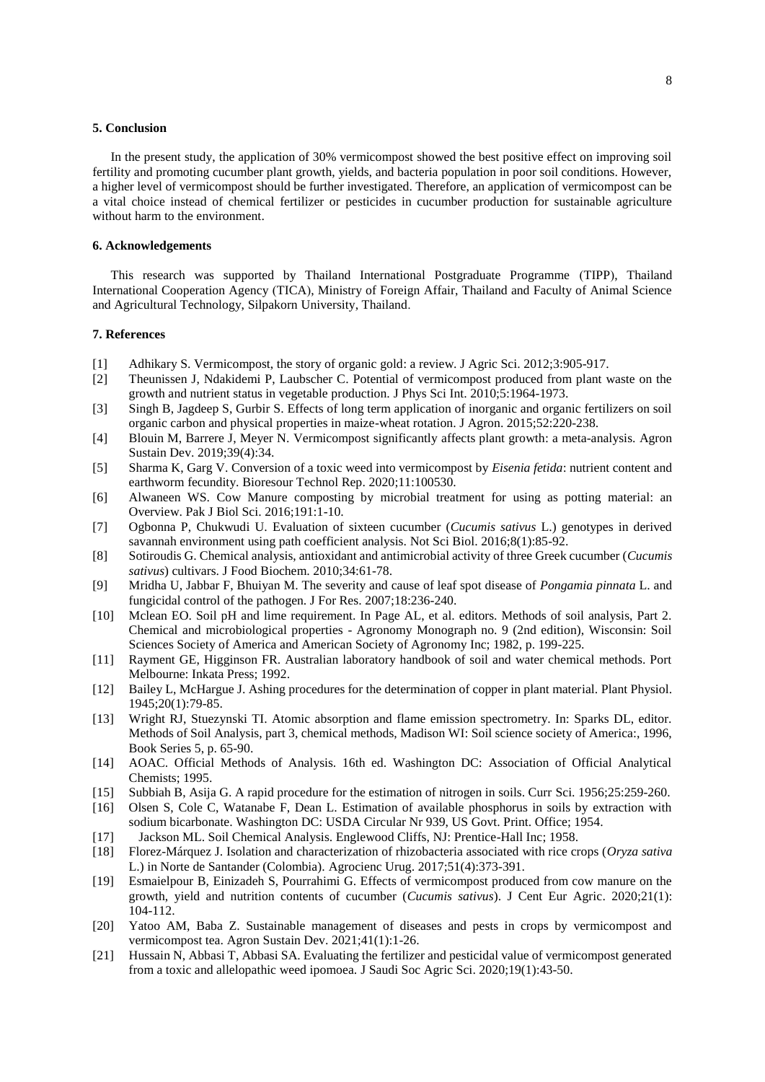## **5. Conclusion**

In the present study, the application of 30% vermicompost showed the best positive effect on improving soil fertility and promoting cucumber plant growth, yields, and bacteria population in poor soil conditions. However, a higher level of vermicompost should be further investigated. Therefore, an application of vermicompost can be a vital choice instead of chemical fertilizer or pesticides in cucumber production for sustainable agriculture without harm to the environment.

## **6. Acknowledgements**

This research was supported by Thailand International Postgraduate Programme (TIPP), Thailand International Cooperation Agency (TICA), Ministry of Foreign Affair, Thailand and Faculty of Animal Science and Agricultural Technology, Silpakorn University, Thailand.

## **7. References**

- [1] Adhikary S. Vermicompost, the story of organic gold: a review. J Agric Sci. 2012;3:905-917.
- [2] Theunissen J, Ndakidemi P, Laubscher C. Potential of vermicompost produced from plant waste on the growth and nutrient status in vegetable production. J Phys Sci Int. 2010;5:1964-1973.
- [3] Singh B, Jagdeep S, Gurbir S. Effects of long term application of inorganic and organic fertilizers on soil organic carbon and physical properties in maize-wheat rotation. J Agron. 2015;52:220-238.
- [4] Blouin M, Barrere J, Meyer N. Vermicompost significantly affects plant growth: a meta-analysis. Agron Sustain Dev. 2019;39(4):34.
- [5] Sharma K, Garg V. Conversion of a toxic weed into vermicompost by *Eisenia fetida*: nutrient content and earthworm fecundity. Bioresour Technol Rep. 2020;11:100530.
- [6] Alwaneen WS. Cow Manure composting by microbial treatment for using as potting material: an Overview. Pak J Biol Sci. 2016;191:1-10.
- [7] Ogbonna P, Chukwudi U. Evaluation of sixteen cucumber (*Cucumis sativus* L.) genotypes in derived savannah environment using path coefficient analysis. Not Sci Biol. 2016;8(1):85-92.
- [8] Sotiroudis G. Chemical analysis, antioxidant and antimicrobial activity of three Greek cucumber (*Cucumis sativus*) cultivars. J Food Biochem. 2010;34:61-78.
- [9] Mridha U, Jabbar F, Bhuiyan M. The severity and cause of leaf spot disease of *Pongamia pinnata* L. and fungicidal control of the pathogen. J For Res. 2007;18:236-240.
- [10] Mclean EO. Soil pH and lime requirement. In Page AL, et al. editors. Methods of soil analysis, Part 2. Chemical and microbiological properties - Agronomy Monograph no. 9 (2nd edition), Wisconsin: Soil Sciences Society of America and American Society of Agronomy Inc; 1982, p. 199-225.
- [11] Rayment GE, Higginson FR. Australian laboratory handbook of soil and water chemical methods. Port Melbourne: Inkata Press; 1992.
- [12] Bailey L, McHargue J. Ashing procedures for the determination of copper in plant material. Plant Physiol. 1945;20(1):79-85.
- [13] Wright RJ, Stuezynski TI. Atomic absorption and flame emission spectrometry. In: Sparks DL, editor. Methods of Soil Analysis, part 3, chemical methods, Madison WI: Soil science society of America:, 1996, Book Series 5, p. 65-90.
- [14] AOAC. Official Methods of Analysis. 16th ed. Washington DC: Association of Official Analytical Chemists; 1995.
- [15] Subbiah B, Asija G. A rapid procedure for the estimation of nitrogen in soils. Curr Sci. 1956;25:259-260.
- [16] Olsen S, Cole C, Watanabe F, Dean L. Estimation of available phosphorus in soils by extraction with sodium bicarbonate. Washington DC: USDA Circular Nr 939, US Govt. Print. Office; 1954.
- [17] Jackson ML. Soil Chemical Analysis. Englewood Cliffs, NJ: Prentice-Hall Inc; 1958.
- [18] Florez-Márquez J. Isolation and characterization of rhizobacteria associated with rice crops (*Oryza sativa* L.) in Norte de Santander (Colombia). Agrocienc Urug. 2017;51(4):373-391.
- [19] Esmaielpour B, Einizadeh S, Pourrahimi G. Effects of vermicompost produced from cow manure on the growth, yield and nutrition contents of cucumber (*Cucumis sativus*). J Cent Eur Agric. 2020;21(1): 104-112.
- [20] Yatoo AM, Baba Z. Sustainable management of diseases and pests in crops by vermicompost and vermicompost tea. Agron Sustain Dev. 2021;41(1):1-26.
- [21] Hussain N, Abbasi T, Abbasi SA. Evaluating the fertilizer and pesticidal value of vermicompost generated from a toxic and allelopathic weed ipomoea. J Saudi Soc Agric Sci. 2020;19(1):43-50.